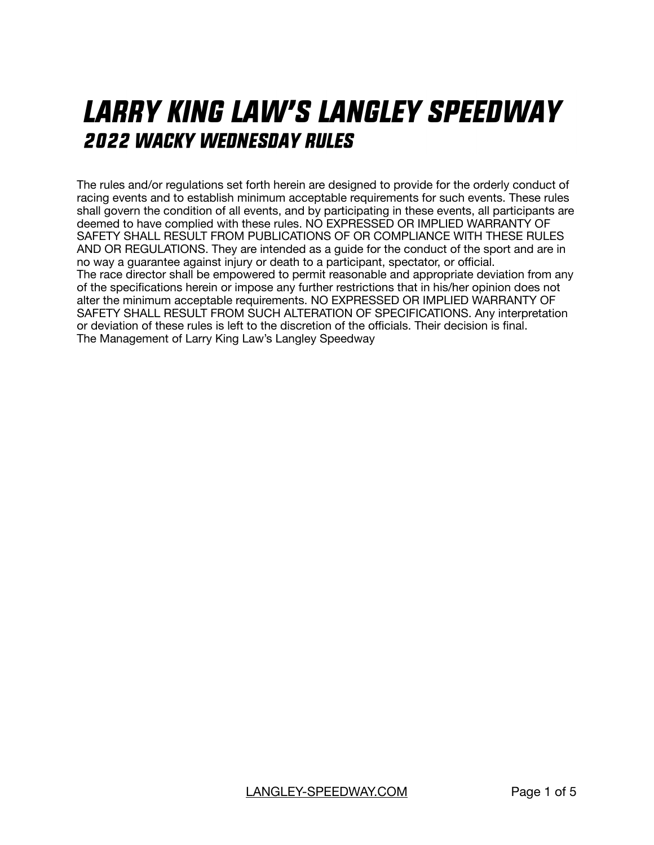# *LARRY KING LAW'S LANGLEY SPEEDWAY* **2022 WACKY WEDNESDAY RULES**

The rules and/or regulations set forth herein are designed to provide for the orderly conduct of racing events and to establish minimum acceptable requirements for such events. These rules shall govern the condition of all events, and by participating in these events, all participants are deemed to have complied with these rules. NO EXPRESSED OR IMPLIED WARRANTY OF SAFETY SHALL RESULT FROM PUBLICATIONS OF OR COMPLIANCE WITH THESE RULES AND OR REGULATIONS. They are intended as a guide for the conduct of the sport and are in no way a guarantee against injury or death to a participant, spectator, or official. The race director shall be empowered to permit reasonable and appropriate deviation from any of the specifications herein or impose any further restrictions that in his/her opinion does not alter the minimum acceptable requirements. NO EXPRESSED OR IMPLIED WARRANTY OF SAFETY SHALL RESULT FROM SUCH ALTERATION OF SPECIFICATIONS. Any interpretation or deviation of these rules is left to the discretion of the officials. Their decision is final. The Management of Larry King Law's Langley Speedway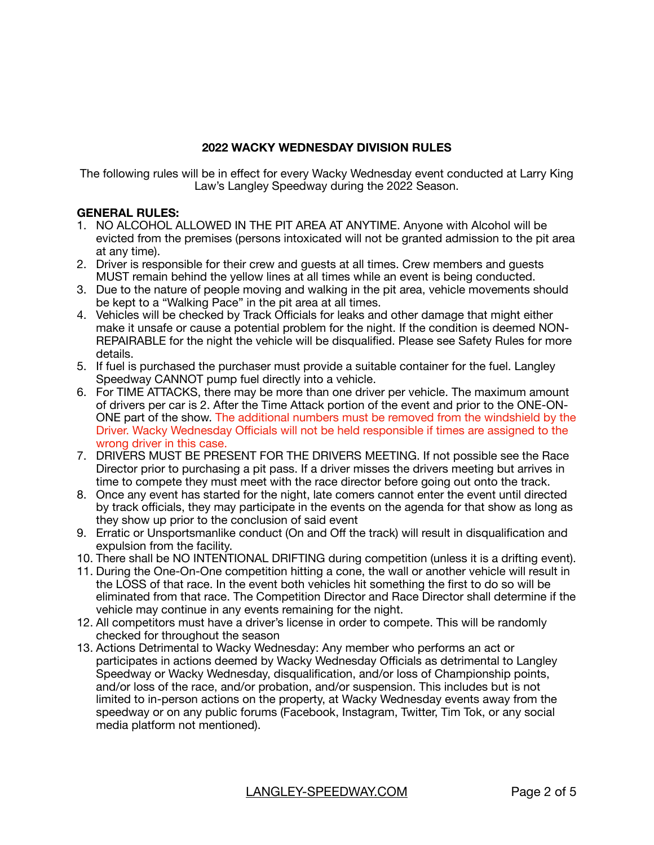## **2022 WACKY WEDNESDAY DIVISION RULES**

The following rules will be in effect for every Wacky Wednesday event conducted at Larry King Law's Langley Speedway during the 2022 Season.

## **GENERAL RULES:**

- 1. NO ALCOHOL ALLOWED IN THE PIT AREA AT ANYTIME. Anyone with Alcohol will be evicted from the premises (persons intoxicated will not be granted admission to the pit area at any time).
- 2. Driver is responsible for their crew and guests at all times. Crew members and guests MUST remain behind the yellow lines at all times while an event is being conducted.
- 3. Due to the nature of people moving and walking in the pit area, vehicle movements should be kept to a "Walking Pace" in the pit area at all times.
- 4. Vehicles will be checked by Track Officials for leaks and other damage that might either make it unsafe or cause a potential problem for the night. If the condition is deemed NON-REPAIRABLE for the night the vehicle will be disqualified. Please see Safety Rules for more details.
- 5. If fuel is purchased the purchaser must provide a suitable container for the fuel. Langley Speedway CANNOT pump fuel directly into a vehicle.
- 6. For TIME ATTACKS, there may be more than one driver per vehicle. The maximum amount of drivers per car is 2. After the Time Attack portion of the event and prior to the ONE-ON-ONE part of the show. The additional numbers must be removed from the windshield by the Driver. Wacky Wednesday Officials will not be held responsible if times are assigned to the wrong driver in this case.
- 7. DRIVERS MUST BE PRESENT FOR THE DRIVERS MEETING. If not possible see the Race Director prior to purchasing a pit pass. If a driver misses the drivers meeting but arrives in time to compete they must meet with the race director before going out onto the track.
- 8. Once any event has started for the night, late comers cannot enter the event until directed by track officials, they may participate in the events on the agenda for that show as long as they show up prior to the conclusion of said event
- 9. Erratic or Unsportsmanlike conduct (On and Off the track) will result in disqualification and expulsion from the facility.
- 10. There shall be NO INTENTIONAL DRIFTING during competition (unless it is a drifting event).
- 11. During the One-On-One competition hitting a cone, the wall or another vehicle will result in the LOSS of that race. In the event both vehicles hit something the first to do so will be eliminated from that race. The Competition Director and Race Director shall determine if the vehicle may continue in any events remaining for the night.
- 12. All competitors must have a driver's license in order to compete. This will be randomly checked for throughout the season
- 13. Actions Detrimental to Wacky Wednesday: Any member who performs an act or participates in actions deemed by Wacky Wednesday Officials as detrimental to Langley Speedway or Wacky Wednesday, disqualification, and/or loss of Championship points, and/or loss of the race, and/or probation, and/or suspension. This includes but is not limited to in-person actions on the property, at Wacky Wednesday events away from the speedway or on any public forums (Facebook, Instagram, Twitter, Tim Tok, or any social media platform not mentioned).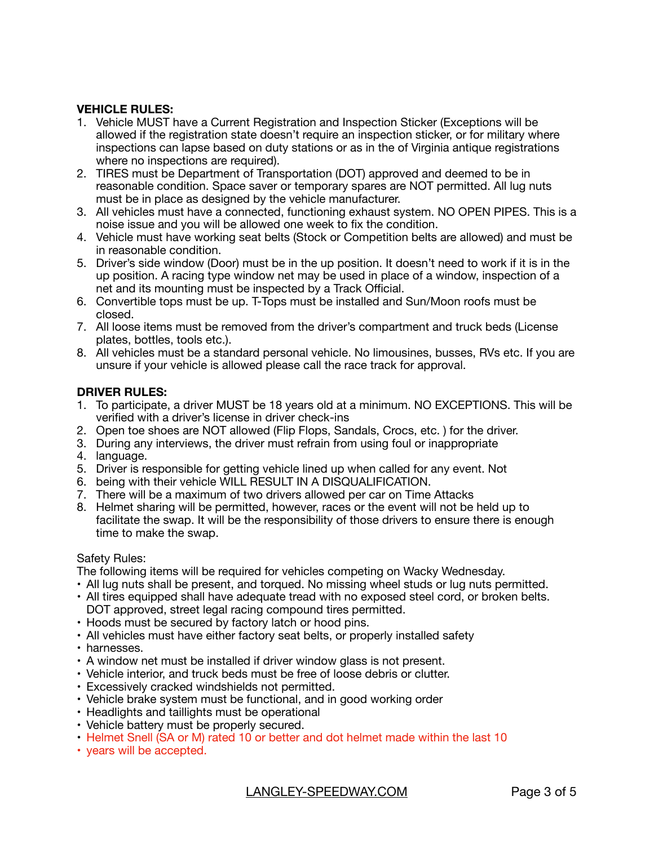## **VEHICLE RULES:**

- 1. Vehicle MUST have a Current Registration and Inspection Sticker (Exceptions will be allowed if the registration state doesn't require an inspection sticker, or for military where inspections can lapse based on duty stations or as in the of Virginia antique registrations where no inspections are required).
- 2. TIRES must be Department of Transportation (DOT) approved and deemed to be in reasonable condition. Space saver or temporary spares are NOT permitted. All lug nuts must be in place as designed by the vehicle manufacturer.
- 3. All vehicles must have a connected, functioning exhaust system. NO OPEN PIPES. This is a noise issue and you will be allowed one week to fix the condition.
- 4. Vehicle must have working seat belts (Stock or Competition belts are allowed) and must be in reasonable condition.
- 5. Driver's side window (Door) must be in the up position. It doesn't need to work if it is in the up position. A racing type window net may be used in place of a window, inspection of a net and its mounting must be inspected by a Track Official.
- 6. Convertible tops must be up. T-Tops must be installed and Sun/Moon roofs must be closed.
- 7. All loose items must be removed from the driver's compartment and truck beds (License plates, bottles, tools etc.).
- 8. All vehicles must be a standard personal vehicle. No limousines, busses, RVs etc. If you are unsure if your vehicle is allowed please call the race track for approval.

## **DRIVER RULES:**

- 1. To participate, a driver MUST be 18 years old at a minimum. NO EXCEPTIONS. This will be verified with a driver's license in driver check-ins
- 2. Open toe shoes are NOT allowed (Flip Flops, Sandals, Crocs, etc. ) for the driver.
- 3. During any interviews, the driver must refrain from using foul or inappropriate
- 4. language.
- 5. Driver is responsible for getting vehicle lined up when called for any event. Not
- 6. being with their vehicle WILL RESULT IN A DISQUALIFICATION.
- 7. There will be a maximum of two drivers allowed per car on Time Attacks
- 8. Helmet sharing will be permitted, however, races or the event will not be held up to facilitate the swap. It will be the responsibility of those drivers to ensure there is enough time to make the swap.

## Safety Rules:

The following items will be required for vehicles competing on Wacky Wednesday.

- All lug nuts shall be present, and torqued. No missing wheel studs or lug nuts permitted.
- All tires equipped shall have adequate tread with no exposed steel cord, or broken belts. DOT approved, street legal racing compound tires permitted.
- Hoods must be secured by factory latch or hood pins.
- All vehicles must have either factory seat belts, or properly installed safety
- harnesses.
- A window net must be installed if driver window glass is not present.
- Vehicle interior, and truck beds must be free of loose debris or clutter.
- Excessively cracked windshields not permitted.
- Vehicle brake system must be functional, and in good working order
- Headlights and taillights must be operational
- Vehicle battery must be properly secured.
- Helmet Snell (SA or M) rated 10 or better and dot helmet made within the last 10
- years will be accepted.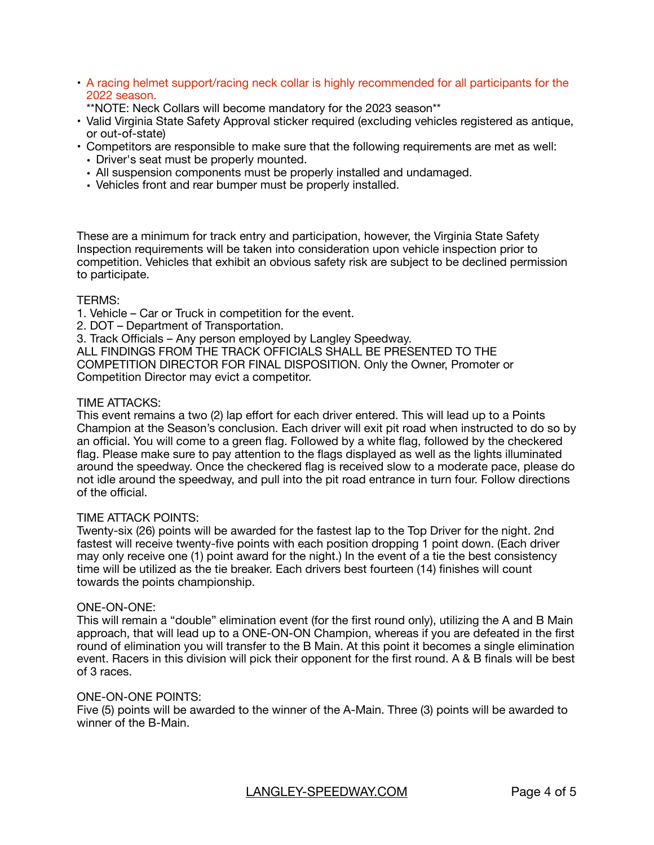- A racing helmet support/racing neck collar is highly recommended for all participants for the 2022 season.
	- \*\*NOTE: Neck Collars will become mandatory for the 2023 season\*\*
- Valid Virginia State Safety Approval sticker required (excluding vehicles registered as antique, or out-of-state)
- Competitors are responsible to make sure that the following requirements are met as well:
	- Driver's seat must be properly mounted.
	- All suspension components must be properly installed and undamaged.
	- Vehicles front and rear bumper must be properly installed.

These are a minimum for track entry and participation, however, the Virginia State Safety Inspection requirements will be taken into consideration upon vehicle inspection prior to competition. Vehicles that exhibit an obvious safety risk are subject to be declined permission to participate.

## TERMS:

1. Vehicle – Car or Truck in competition for the event.

2. DOT – Department of Transportation.

3. Track Officials – Any person employed by Langley Speedway.

ALL FINDINGS FROM THE TRACK OFFICIALS SHALL BE PRESENTED TO THE COMPETITION DIRECTOR FOR FINAL DISPOSITION. Only the Owner, Promoter or Competition Director may evict a competitor.

## TIME ATTACKS:

This event remains a two (2) lap effort for each driver entered. This will lead up to a Points Champion at the Season's conclusion. Each driver will exit pit road when instructed to do so by an official. You will come to a green flag. Followed by a white flag, followed by the checkered flag. Please make sure to pay attention to the flags displayed as well as the lights illuminated around the speedway. Once the checkered flag is received slow to a moderate pace, please do not idle around the speedway, and pull into the pit road entrance in turn four. Follow directions of the official.

## TIME ATTACK POINTS:

Twenty-six (26) points will be awarded for the fastest lap to the Top Driver for the night. 2nd fastest will receive twenty-five points with each position dropping 1 point down. (Each driver may only receive one (1) point award for the night.) In the event of a tie the best consistency time will be utilized as the tie breaker. Each drivers best fourteen (14) finishes will count towards the points championship.

## ONE-ON-ONE:

This will remain a "double" elimination event (for the first round only), utilizing the A and B Main approach, that will lead up to a ONE-ON-ON Champion, whereas if you are defeated in the first round of elimination you will transfer to the B Main. At this point it becomes a single elimination event. Racers in this division will pick their opponent for the first round. A & B finals will be best of 3 races.

## ONE-ON-ONE POINTS:

Five (5) points will be awarded to the winner of the A-Main. Three (3) points will be awarded to winner of the B-Main.